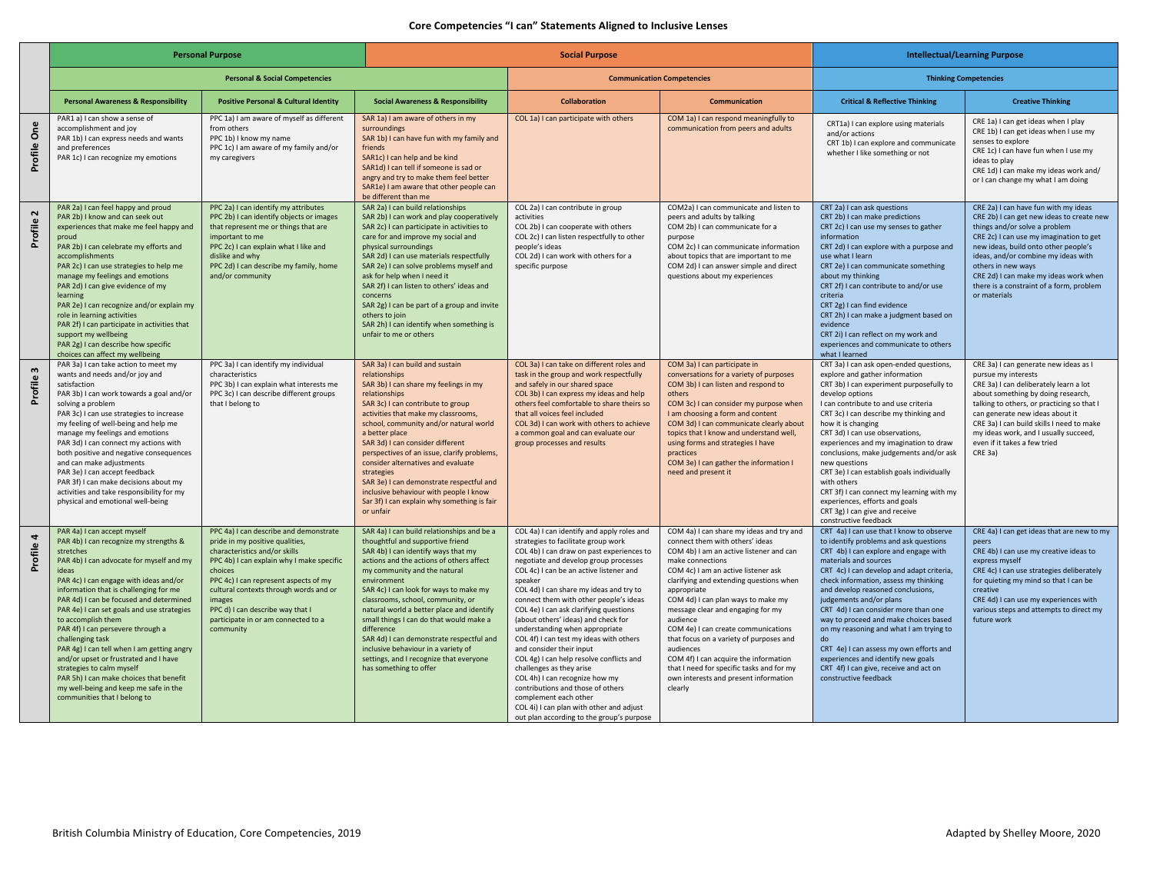## **Core Competencies "I can" Statements Aligned to Inclusive Lenses**

|                   | <b>Personal Purpose</b>                                                                                                                                                                                                                                                                                                                                                                                                                                                                                                                                                                                                                     |                                                                                                                                                                                                                                                                                                                                                         | <b>Social Purpose</b>                                                                                                                                                                                                                                                                                                                                                                                                                                                                                                                                         |                                                                                                                                                                                                                                                                                                                                                                                                                                                                                                                                                                                                                                                                                                                                                                               |                                                                                                                                                                                                                                                                                                                                                                                                                                                                                                                                                                             | <b>Intellectual/Learning Purpose</b>                                                                                                                                                                                                                                                                                                                                                                                                                                                                                                                                                             |                                                                                                                                                                                                                                                                                                                                                                         |
|-------------------|---------------------------------------------------------------------------------------------------------------------------------------------------------------------------------------------------------------------------------------------------------------------------------------------------------------------------------------------------------------------------------------------------------------------------------------------------------------------------------------------------------------------------------------------------------------------------------------------------------------------------------------------|---------------------------------------------------------------------------------------------------------------------------------------------------------------------------------------------------------------------------------------------------------------------------------------------------------------------------------------------------------|---------------------------------------------------------------------------------------------------------------------------------------------------------------------------------------------------------------------------------------------------------------------------------------------------------------------------------------------------------------------------------------------------------------------------------------------------------------------------------------------------------------------------------------------------------------|-------------------------------------------------------------------------------------------------------------------------------------------------------------------------------------------------------------------------------------------------------------------------------------------------------------------------------------------------------------------------------------------------------------------------------------------------------------------------------------------------------------------------------------------------------------------------------------------------------------------------------------------------------------------------------------------------------------------------------------------------------------------------------|-----------------------------------------------------------------------------------------------------------------------------------------------------------------------------------------------------------------------------------------------------------------------------------------------------------------------------------------------------------------------------------------------------------------------------------------------------------------------------------------------------------------------------------------------------------------------------|--------------------------------------------------------------------------------------------------------------------------------------------------------------------------------------------------------------------------------------------------------------------------------------------------------------------------------------------------------------------------------------------------------------------------------------------------------------------------------------------------------------------------------------------------------------------------------------------------|-------------------------------------------------------------------------------------------------------------------------------------------------------------------------------------------------------------------------------------------------------------------------------------------------------------------------------------------------------------------------|
|                   | <b>Personal &amp; Social Competencies</b>                                                                                                                                                                                                                                                                                                                                                                                                                                                                                                                                                                                                   |                                                                                                                                                                                                                                                                                                                                                         |                                                                                                                                                                                                                                                                                                                                                                                                                                                                                                                                                               | <b>Communication Competencies</b>                                                                                                                                                                                                                                                                                                                                                                                                                                                                                                                                                                                                                                                                                                                                             |                                                                                                                                                                                                                                                                                                                                                                                                                                                                                                                                                                             | <b>Thinking Competencies</b>                                                                                                                                                                                                                                                                                                                                                                                                                                                                                                                                                                     |                                                                                                                                                                                                                                                                                                                                                                         |
|                   | <b>Personal Awareness &amp; Responsibility</b>                                                                                                                                                                                                                                                                                                                                                                                                                                                                                                                                                                                              | <b>Positive Personal &amp; Cultural Identity</b>                                                                                                                                                                                                                                                                                                        | <b>Social Awareness &amp; Responsibility</b>                                                                                                                                                                                                                                                                                                                                                                                                                                                                                                                  | <b>Collaboration</b>                                                                                                                                                                                                                                                                                                                                                                                                                                                                                                                                                                                                                                                                                                                                                          | <b>Communication</b>                                                                                                                                                                                                                                                                                                                                                                                                                                                                                                                                                        | <b>Critical &amp; Reflective Thinking</b>                                                                                                                                                                                                                                                                                                                                                                                                                                                                                                                                                        | <b>Creative Thinking</b>                                                                                                                                                                                                                                                                                                                                                |
| Profile One       | PAR1 a) I can show a sense of<br>accomplishment and joy<br>PAR 1b) I can express needs and wants<br>and preferences<br>PAR 1c) I can recognize my emotions                                                                                                                                                                                                                                                                                                                                                                                                                                                                                  | PPC 1a) I am aware of myself as different<br>from others<br>PPC 1b) I know my name<br>PPC 1c) I am aware of my family and/or<br>my caregivers                                                                                                                                                                                                           | SAR 1a) I am aware of others in my<br>surroundings<br>SAR 1b) I can have fun with my family and<br>friends<br>SAR1c) I can help and be kind<br>SAR1d) I can tell if someone is sad or<br>angry and try to make them feel better<br>SAR1e) I am aware that other people can<br>be different than me                                                                                                                                                                                                                                                            | COL 1a) I can participate with others                                                                                                                                                                                                                                                                                                                                                                                                                                                                                                                                                                                                                                                                                                                                         | COM 1a) I can respond meaningfully to<br>communication from peers and adults                                                                                                                                                                                                                                                                                                                                                                                                                                                                                                | CRT1a) I can explore using materials<br>and/or actions<br>CRT 1b) I can explore and communicate<br>whether I like something or not                                                                                                                                                                                                                                                                                                                                                                                                                                                               | CRE 1a) I can get ideas when I play<br>CRE 1b) I can get ideas when I use my<br>senses to explore<br>CRE 1c) I can have fun when I use my<br>ideas to play<br>CRE 1d) I can make my ideas work and/<br>or I can change my what I am doing                                                                                                                               |
| $\sim$<br>Profile | PAR 2a) I can feel happy and proud<br>PAR 2b) I know and can seek out<br>experiences that make me feel happy and<br>proud<br>PAR 2b) I can celebrate my efforts and<br>accomplishments<br>PAR 2c) I can use strategies to help me<br>manage my feelings and emotions<br>PAR 2d) I can give evidence of my<br>learning<br>PAR 2e) I can recognize and/or explain my<br>role in learning activities<br>PAR 2f) I can participate in activities that<br>support my wellbeing<br>PAR 2g) I can describe how specific<br>choices can affect my wellbeing                                                                                         | PPC 2a) I can identify my attributes<br>PPC 2b) I can identify objects or images<br>that represent me or things that are<br>important to me<br>PPC 2c) I can explain what I like and<br>dislike and why<br>PPC 2d) I can describe my family, home<br>and/or community                                                                                   | SAR 2a) I can build relationships<br>SAR 2b) I can work and play cooperatively<br>SAR 2c) I can participate in activities to<br>care for and improve my social and<br>physical surroundings<br>SAR 2d) I can use materials respectfully<br>SAR 2e) I can solve problems myself and<br>ask for help when I need it<br>SAR 2f) I can listen to others' ideas and<br>concerns<br>SAR 2g) I can be part of a group and invite<br>others to join<br>SAR 2h) I can identify when something is<br>unfair to me or others                                             | COL 2a) I can contribute in group<br>activities<br>COL 2b) I can cooperate with others<br>COL 2c) I can listen respectfully to other<br>people's ideas<br>COL 2d) I can work with others for a<br>specific purpose                                                                                                                                                                                                                                                                                                                                                                                                                                                                                                                                                            | COM2a) I can communicate and listen to<br>peers and adults by talking<br>COM 2b) I can communicate for a<br>purpose<br>COM 2c) I can communicate information<br>about topics that are important to me<br>COM 2d) I can answer simple and direct<br>questions about my experiences                                                                                                                                                                                                                                                                                           | CRT 2a) I can ask questions<br>CRT 2b) I can make predictions<br>CRT 2c) I can use my senses to gather<br>information<br>CRT 2d) I can explore with a purpose and<br>use what I learn<br>CRT 2e) I can communicate something<br>about my thinking<br>CRT 2f) I can contribute to and/or use<br>criteria<br>CRT 2g) I can find evidence<br>CRT 2h) I can make a judgment based on<br>evidence<br>CRT 2i) I can reflect on my work and<br>experiences and communicate to others<br>what I learned                                                                                                  | CRE 2a) I can have fun with my ideas<br>CRE 2b) I can get new ideas to create new<br>things and/or solve a problem<br>CRE 2c) I can use my imagination to get<br>new ideas, build onto other people's<br>ideas, and/or combine my ideas with<br>others in new ways<br>CRE 2d) I can make my ideas work when<br>there is a constraint of a form, problem<br>or materials |
| Profile           | PAR 3a) I can take action to meet my<br>wants and needs and/or joy and<br>satisfaction<br>PAR 3b) I can work towards a goal and/or<br>solving a problem<br>PAR 3c) I can use strategies to increase<br>my feeling of well-being and help me<br>manage my feelings and emotions<br>PAR 3d) I can connect my actions with<br>both positive and negative consequences<br>and can make adjustments<br>PAR 3e) I can accept feedback<br>PAR 3f) I can make decisions about my<br>activities and take responsibility for my<br>physical and emotional well-being                                                                                  | PPC 3a) I can identify my individual<br>characteristics<br>PPC 3b) I can explain what interests me<br>PPC 3c) I can describe different groups<br>that I belong to                                                                                                                                                                                       | SAR 3a) I can build and sustain<br>relationships<br>SAR 3b) I can share my feelings in my<br>relationships<br>SAR 3c) I can contribute to group<br>activities that make my classrooms,<br>school, community and/or natural world<br>a better place<br>SAR 3d) I can consider different<br>perspectives of an issue, clarify problems,<br>consider alternatives and evaluate<br>strategies<br>SAR 3e) I can demonstrate respectful and<br>inclusive behaviour with people I know<br>Sar 3f) I can explain why something is fair<br>or unfair                   | COL 3a) I can take on different roles and<br>task in the group and work respectfully<br>and safely in our shared space<br>COL 3b) I can express my ideas and help<br>others feel comfortable to share theirs so<br>that all voices feel included<br>COL 3d) I can work with others to achieve<br>a common goal and can evaluate our<br>group processes and results                                                                                                                                                                                                                                                                                                                                                                                                            | COM 3a) I can participate in<br>conversations for a variety of purposes<br>COM 3b) I can listen and respond to<br>others<br>COM 3c) I can consider my purpose when<br>I am choosing a form and content<br>COM 3d) I can communicate clearly about<br>topics that I know and understand well,<br>using forms and strategies I have<br>practices<br>COM 3e) I can gather the information I<br>need and present it                                                                                                                                                             | CRT 3a) I can ask open-ended questions,<br>explore and gather information<br>CRT 3b) I can experiment purposefully to<br>develop options<br>I can contribute to and use criteria<br>CRT 3c) I can describe my thinking and<br>how it is changing<br>CRT 3d) I can use observations,<br>experiences and my imagination to draw<br>conclusions, make judgements and/or ask<br>new questions<br>CRT 3e) I can establish goals individually<br>with others<br>CRT 3f) I can connect my learning with my<br>experiences, efforts and goals<br>CRT 3g) I can give and receive<br>constructive feedback | CRE 3a) I can generate new ideas as I<br>pursue my interests<br>CRE 3a) I can deliberately learn a lot<br>about something by doing research,<br>talking to others, or practicing so that I<br>can generate new ideas about it<br>CRE 3a) I can build skills I need to make<br>my ideas work, and I usually succeed,<br>even if it takes a few tried<br>CRE 3a)          |
| Profile           | PAR 4a) I can accept myself<br>PAR 4b) I can recognize my strengths &<br>stretches<br>PAR 4b) I can advocate for myself and my<br>ideas<br>PAR 4c) I can engage with ideas and/or<br>information that is challenging for me<br>PAR 4d) I can be focused and determined<br>PAR 4e) I can set goals and use strategies<br>to accomplish them<br>PAR 4f) I can persevere through a<br>challenging task<br>PAR 4g) I can tell when I am getting angry<br>and/or upset or frustrated and I have<br>strategies to calm myself<br>PAR 5h) I can make choices that benefit<br>my well-being and keep me safe in the<br>communities that I belong to | PPC 4a) I can describe and demonstrate<br>pride in my positive qualities,<br>characteristics and/or skills<br>PPC 4b) I can explain why I make specific<br>choices<br>PPC 4c) I can represent aspects of my<br>cultural contexts through words and or<br>images<br>PPC d) I can describe way that I<br>participate in or am connected to a<br>community | SAR 4a) I can build relationships and be a<br>thoughtful and supportive friend<br>SAR 4b) I can identify ways that my<br>actions and the actions of others affect<br>my community and the natural<br>environment<br>SAR 4c) I can look for ways to make my<br>classrooms, school, community, or<br>natural world a better place and identify<br>small things I can do that would make a<br>difference<br>SAR 4d) I can demonstrate respectful and<br>inclusive behaviour in a variety of<br>settings, and I recognize that everyone<br>has something to offer | COL 4a) I can identify and apply roles and<br>strategies to facilitate group work<br>COL 4b) I can draw on past experiences to<br>negotiate and develop group processes<br>COL 4c) I can be an active listener and<br>speaker<br>COL 4d) I can share my ideas and try to<br>connect them with other people's ideas<br>COL 4e) I can ask clarifying questions<br>(about others' ideas) and check for<br>understanding when appropriate<br>COL 4f) I can test my ideas with others<br>and consider their input<br>COL 4g) I can help resolve conflicts and<br>challenges as they arise<br>COL 4h) I can recognize how my<br>contributions and those of others<br>complement each other<br>COL 4i) I can plan with other and adjust<br>out plan according to the group's purpose | COM 4a) I can share my ideas and try and<br>connect them with others' ideas<br>COM 4b) I am an active listener and can<br>make connections<br>COM 4c) I am an active listener ask<br>clarifying and extending questions when<br>appropriate<br>COM 4d) I can plan ways to make my<br>message clear and engaging for my<br>audience<br>COM 4e) I can create communications<br>that focus on a variety of purposes and<br>audiences<br>COM 4f) I can acquire the information<br>that I need for specific tasks and for my<br>own interests and present information<br>clearly | CRT 4a) I can use that I know to observe<br>to identify problems and ask questions<br>CRT 4b) I can explore and engage with<br>materials and sources<br>CRT 4c) I can develop and adapt criteria,<br>check information, assess my thinking<br>and develop reasoned conclusions,<br>judgements and/or plans<br>CRT 4d) I can consider more than one<br>way to proceed and make choices based<br>on my reasoning and what I am trying to<br>do<br>CRT 4e) I can assess my own efforts and<br>experiences and identify new goals<br>CRT 4f) I can give, receive and act on<br>constructive feedback | CRE 4a) I can get ideas that are new to my<br>peers<br>CRE 4b) I can use my creative ideas to<br>express myself<br>CRE 4c) I can use strategies deliberately<br>for quieting my mind so that I can be<br>creative<br>CRE 4d) I can use my experiences with<br>various steps and attempts to direct my<br>future work                                                    |